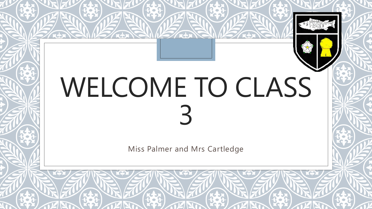# WELCOME TO CLASS 3

Miss Palmer and Mrs Cartledge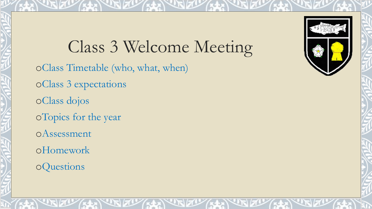Class 3 Welcome Meeting oClass Timetable (who, what, when) oClass 3 expectations

oClass dojos

oTopics for the year

oAssessment

oHomework

oQuestions

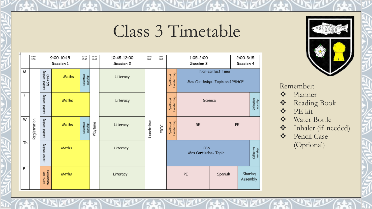### Class 3 Timetable





#### Remember:

- Planner
- Reading Book
- ◆ PE kit
- Water Bottle
- \* Inhaler (if needed)
- Pencil Case (Optional)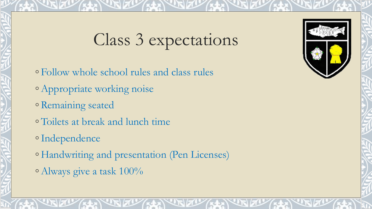### Class 3 expectations

- Follow whole school rules and class rules ◦Appropriate working noise ◦ Remaining seated ◦ Toilets at break and lunch time ◦Independence
- Handwriting and presentation (Pen Licenses)
- ◦Always give a task 100%

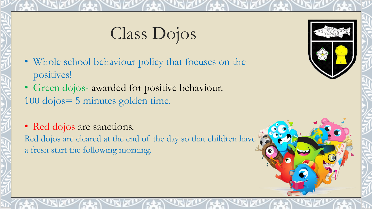### Class Dojos

- Whole school behaviour policy that focuses on the positives!
- Green dojos- awarded for positive behaviour. 100 dojos= 5 minutes golden time.
- Red dojos are sanctions. Red dojos are cleared at the end of the day so that children have a fresh start the following morning.

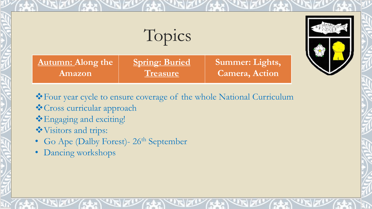### Topics

**Autumn: Along the Amazon Spring: Buried Treasure Summer: Lights, Camera, Action** 

Four year cycle to ensure coverage of the whole National Curriculum

- Cross curricular approach
- Engaging and exciting!
- Visitors and trips:
- Go Ape (Dalby Forest)- 26<sup>th</sup> September
- Dancing workshops

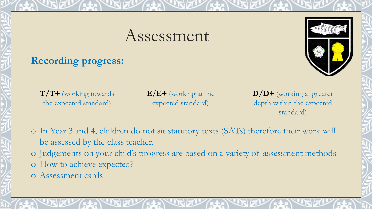### Assessment

#### **Recording progress:**



**T/T+** (working towards the expected standard)

**E/E+** (working at the expected standard)

**D/D+** (working at greater depth within the expected standard)

o In Year 3 and 4, children do not sit statutory texts (SATs) therefore their work will be assessed by the class teacher.

o Judgements on your child's progress are based on a variety of assessment methods o How to achieve expected?

o Assessment cards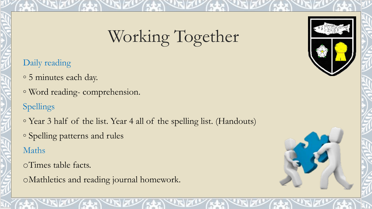### Working Together

#### Daily reading

- 5 minutes each day.
- Word reading- comprehension.

#### Spellings

- Year 3 half of the list. Year 4 all of the spelling list. (Handouts)
- Spelling patterns and rules

#### Maths

- oTimes table facts.
- oMathletics and reading journal homework.



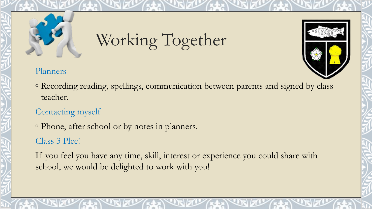## Working Together



#### Planners

◦ Recording reading, spellings, communication between parents and signed by class teacher.

#### Contacting myself

◦ Phone, after school or by notes in planners.

#### Class 3 Plee!

If you feel you have any time, skill, interest or experience you could share with school, we would be delighted to work with you!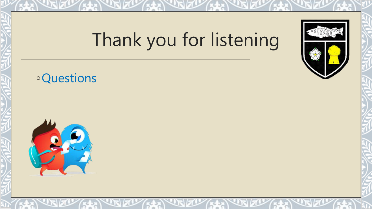### Thank you for listening

### ◦Questions